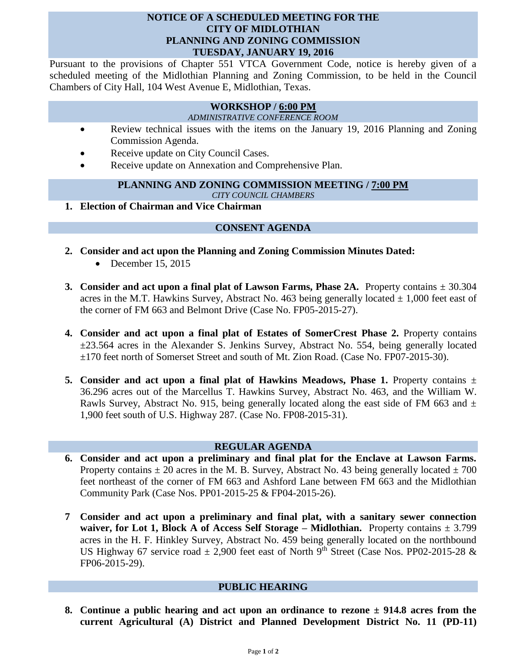### **NOTICE OF A SCHEDULED MEETING FOR THE CITY OF MIDLOTHIAN PLANNING AND ZONING COMMISSION TUESDAY, JANUARY 19, 2016**

Pursuant to the provisions of Chapter 551 VTCA Government Code, notice is hereby given of a scheduled meeting of the Midlothian Planning and Zoning Commission, to be held in the Council Chambers of City Hall, 104 West Avenue E, Midlothian, Texas.

## **WORKSHOP / 6:00 PM**

#### *ADMINISTRATIVE CONFERENCE ROOM*

- Review technical issues with the items on the January 19, 2016 Planning and Zoning Commission Agenda.
- Receive update on City Council Cases.
- Receive update on Annexation and Comprehensive Plan.

## **PLANNING AND ZONING COMMISSION MEETING / 7:00 PM**

*CITY COUNCIL CHAMBERS*

**1. Election of Chairman and Vice Chairman**

# **CONSENT AGENDA**

- **2. Consider and act upon the Planning and Zoning Commission Minutes Dated:** 
	- $\bullet$  December 15, 2015
- **3.** Consider and act upon a final plat of Lawson Farms, Phase 2A. Property contains  $\pm$  30.304 acres in the M.T. Hawkins Survey, Abstract No. 463 being generally located  $\pm$  1,000 feet east of the corner of FM 663 and Belmont Drive (Case No. FP05-2015-27).
- **4. Consider and act upon a final plat of Estates of SomerCrest Phase 2.** Property contains ±23.564 acres in the Alexander S. Jenkins Survey, Abstract No. 554, being generally located ±170 feet north of Somerset Street and south of Mt. Zion Road. (Case No. FP07-2015-30).
- **5.** Consider and act upon a final plat of Hawkins Meadows, Phase 1. Property contains  $\pm$ 36.296 acres out of the Marcellus T. Hawkins Survey, Abstract No. 463, and the William W. Rawls Survey, Abstract No. 915, being generally located along the east side of FM 663 and  $\pm$ 1,900 feet south of U.S. Highway 287. (Case No. FP08-2015-31).

## **REGULAR AGENDA**

- **6. Consider and act upon a preliminary and final plat for the Enclave at Lawson Farms.**  Property contains  $\pm 20$  acres in the M. B. Survey, Abstract No. 43 being generally located  $\pm 700$ feet northeast of the corner of FM 663 and Ashford Lane between FM 663 and the Midlothian Community Park (Case Nos. PP01-2015-25 & FP04-2015-26).
- **7 Consider and act upon a preliminary and final plat, with a sanitary sewer connection waiver, for Lot 1, Block A of Access Self Storage – Midlothian.** Property contains ± 3.799 acres in the H. F. Hinkley Survey, Abstract No. 459 being generally located on the northbound US Highway 67 service road  $\pm$  2,900 feet east of North 9<sup>th</sup> Street (Case Nos. PP02-2015-28 & FP06-2015-29).

## **PUBLIC HEARING**

**8. Continue a public hearing and act upon an ordinance to rezone ± 914.8 acres from the current Agricultural (A) District and Planned Development District No. 11 (PD-11)**